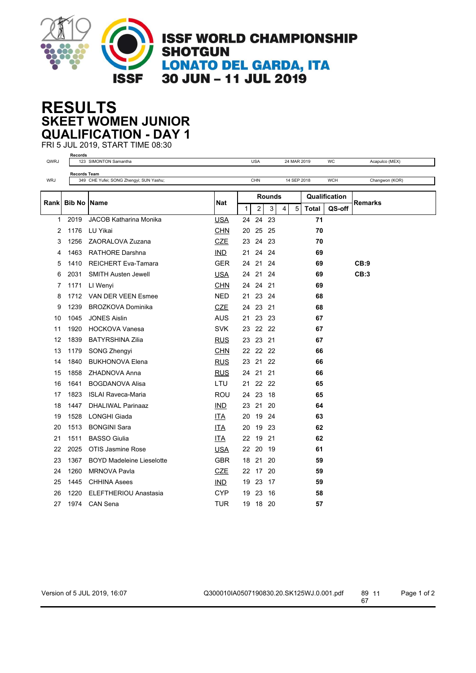

## **SKEET WOMEN JUNIOR RESULTS QUALIFICATION - DAY 1**

FRI 5 JUL 2019, START TIME 08:30 **Records**

| QWRJ |                     | 123 SIMONTON Samantha                   |            |               | <b>USA</b>     |     |   | 24 MAR 2019 |              | WC            | Acapulco (MEX) |
|------|---------------------|-----------------------------------------|------------|---------------|----------------|-----|---|-------------|--------------|---------------|----------------|
|      | <b>Records Team</b> |                                         |            |               |                |     |   |             |              |               |                |
| WRJ  |                     | 349 CHE Yufei; SONG Zhengyi; SUN Yashu; |            |               | CHN            |     |   | 14 SEP 2018 |              | <b>WCH</b>    | Changwon (KOR) |
|      | <b>Bib No</b>       |                                         |            | <b>Rounds</b> |                |     |   |             |              | Qualification |                |
| Rank |                     | <b>Name</b>                             | <b>Nat</b> |               |                |     |   |             |              | QS-off        | <b>Remarks</b> |
|      |                     |                                         |            | 1             | $\overline{2}$ | 3   | 4 | 5           | <b>Total</b> |               |                |
| 1    | 2019                | <b>JACOB Katharina Monika</b>           | <b>USA</b> | 24            | 24             | 23  |   |             | 71           |               |                |
| 2    | 1176                | LU Yikai                                | <b>CHN</b> |               | 20 25 25       |     |   |             | 70           |               |                |
| 3    | 1256                | ZAORALOVA Zuzana                        | <b>CZE</b> | 23            | 24             | 23  |   |             | 70           |               |                |
| 4    | 1463                | <b>RATHORE Darshna</b>                  | <b>IND</b> | 21            | 24             | -24 |   |             | 69           |               |                |
| 5    | 1410                | <b>REICHERT Eva-Tamara</b>              | <b>GER</b> | 24            | 21 24          |     |   |             | 69           |               | CB:9           |
| 6    | 2031                | <b>SMITH Austen Jewell</b>              | <b>USA</b> | 24            | 21             | 24  |   |             | 69           |               | CB:3           |
| 7    | 1171                | LI Wenyi                                | <b>CHN</b> |               | 24 24          | -21 |   |             | 69           |               |                |
| 8    | 1712                | <b>VAN DER VEEN Esmee</b>               | <b>NED</b> | 21            | 23             | -24 |   |             | 68           |               |                |
| 9    | 1239                | <b>BROZKOVA Dominika</b>                | CZE        | 24            | 23             | 21  |   |             | 68           |               |                |
| 10   | 1045                | <b>JONES Aislin</b>                     | <b>AUS</b> | 21            | 23 23          |     |   |             | 67           |               |                |
| 11   | 1920                | <b>HOCKOVA Vanesa</b>                   | <b>SVK</b> | 23            | 22 22          |     |   |             | 67           |               |                |
| 12   | 1839                | <b>BATYRSHINA Zilia</b>                 | <b>RUS</b> | 23            | 23             | -21 |   |             | 67           |               |                |
| 13   | 1179                | SONG Zhengyi                            | <b>CHN</b> |               | 22 22 22       |     |   |             | 66           |               |                |
| 14   | 1840                | <b>BUKHONOVA Elena</b>                  | <b>RUS</b> | 23            | 21             | 22  |   |             | 66           |               |                |
| 15   | 1858                | ZHADNOVA Anna                           | <b>RUS</b> | 24            | 21             | 21  |   |             | 66           |               |                |
| 16   | 1641                | <b>BOGDANOVA Alisa</b>                  | LTU        | 21            | 22 22          |     |   |             | 65           |               |                |
| 17   | 1823                | <b>ISLAI Raveca-Maria</b>               | <b>ROU</b> | 24            | 23             | 18  |   |             | 65           |               |                |
| 18   | 1447                | <b>DHALIWAL Parinaaz</b>                | <b>IND</b> | 23            | 21             | 20  |   |             | 64           |               |                |
| 19   | 1528                | <b>LONGHI Giada</b>                     | ITA        | 20            | 19 24          |     |   |             | 63           |               |                |
| 20   | 1513                | <b>BONGINI Sara</b>                     | <b>ITA</b> | 20            | 19             | 23  |   |             | 62           |               |                |
| 21   | 1511                | <b>BASSO Giulia</b>                     | <u>ITA</u> | 22            | 19             | 21  |   |             | 62           |               |                |
| 22   | 2025                | <b>OTIS Jasmine Rose</b>                | <b>USA</b> | 22 20         |                | -19 |   |             | 61           |               |                |
| 23   | 1367                | <b>BOYD Madeleine Lieselotte</b>        | <b>GBR</b> | 18            | 21             | 20  |   |             | 59           |               |                |
| 24   | 1260                | <b>MRNOVA Pavla</b>                     | <b>CZE</b> | 22            | 17             | 20  |   |             | 59           |               |                |
| 25   | 1445                | <b>CHHINA Asees</b>                     | <b>IND</b> |               | 19 23          | -17 |   |             | 59           |               |                |
| 26   | 1220                | ELEFTHERIOU Anastasia                   | <b>CYP</b> | 19            | 23             | 16  |   |             | 58           |               |                |
| 27   | 1974                | <b>CAN Sena</b>                         | <b>TUR</b> | 19            | 18             | 20  |   |             | 57           |               |                |